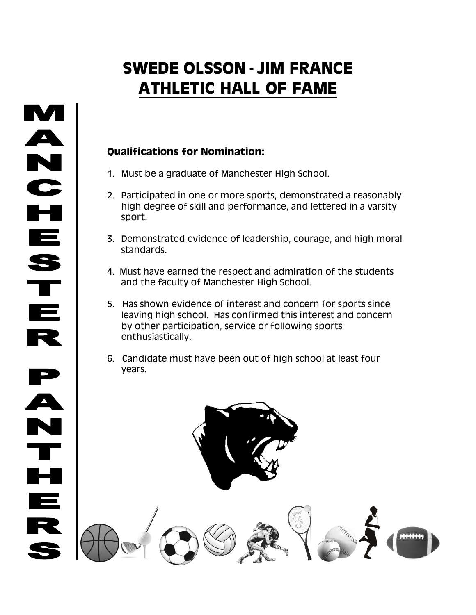## **SWEDE OLSSON - JIM FRANCE ATHLETIC HALL OF FAME**

## **Qualifications for Nomination:**

- 1. Must be a graduate of Manchester High School.
- 2. Participated in one or more sports, demonstrated a reasonably high degree of skill and performance, and lettered in a varsity sport.
- 3. Demonstrated evidence of leadership, courage, and high moral standards.
- 4. Must have earned the respect and admiration of the students and the faculty of Manchester High School.
- 5. Has shown evidence of interest and concern for sports since leaving high school. Has confirmed this interest and concern by other participation, service or following sports enthusiastically.
- 6. Candidate must have been out of high school at least four years.